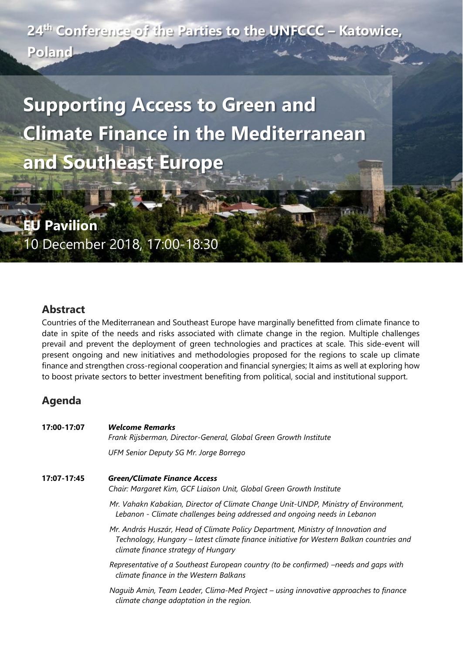**24th Conference of the Parties to the UNFCCC – Katowice, Poland**

**Supporting Access to Green and Climate Finance in the Mediterranean and Southeast Europe**

**EU Pavilion** 10 December 2018, 17:00-18:30

## **Abstract**

Countries of the Mediterranean and Southeast Europe have marginally benefitted from climate finance to date in spite of the needs and risks associated with climate change in the region. Multiple challenges prevail and prevent the deployment of green technologies and practices at scale. This side-event will present ongoing and new initiatives and methodologies proposed for the regions to scale up climate finance and strengthen cross-regional cooperation and financial synergies; It aims as well at exploring how to boost private sectors to better investment benefiting from political, social and institutional support.

## **Agenda**

| 17:00-17:07 | <b>Welcome Remarks</b><br>Frank Rijsberman, Director-General, Global Green Growth Institute                                                                                                                         |
|-------------|---------------------------------------------------------------------------------------------------------------------------------------------------------------------------------------------------------------------|
|             | UFM Senior Deputy SG Mr. Jorge Borrego                                                                                                                                                                              |
| 17:07-17:45 | <b>Green/Climate Finance Access</b><br>Chair: Margaret Kim, GCF Liaison Unit, Global Green Growth Institute                                                                                                         |
|             | Mr. Vahakn Kabakian, Director of Climate Change Unit-UNDP, Ministry of Environment,<br>Lebanon - Climate challenges being addressed and ongoing needs in Lebanon                                                    |
|             | Mr. András Huszár, Head of Climate Policy Department, Ministry of Innovation and<br>Technology, Hungary - latest climate finance initiative for Western Balkan countries and<br>climate finance strategy of Hungary |
|             | Representative of a Southeast European country (to be confirmed) –needs and gaps with<br>climate finance in the Western Balkans                                                                                     |
|             | Naguib Amin, Team Leader, Clima-Med Project – using innovative approaches to finance<br>climate change adaptation in the region.                                                                                    |